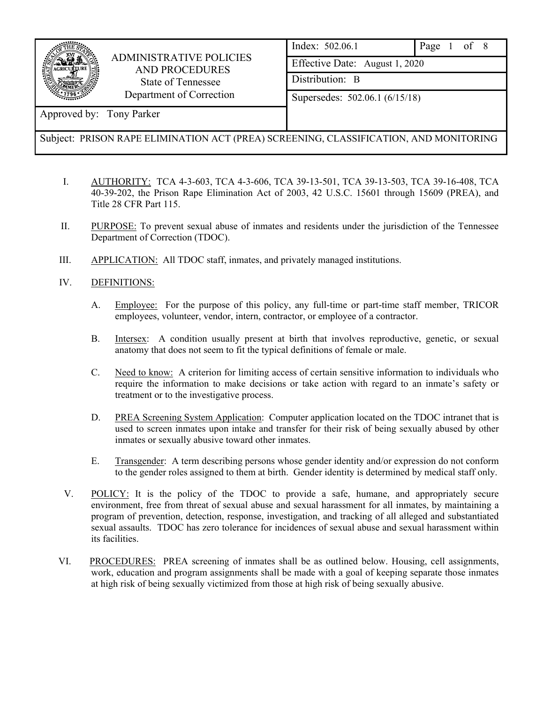

### ADMINISTRATIVE POLICIES AND PROCEDURES State of Tennessee Department of Correction

| Index: 502.06.1                | Page 1 of 8 |  |  |
|--------------------------------|-------------|--|--|
| Effective Date: August 1, 2020 |             |  |  |
| Distribution: B                |             |  |  |
|                                |             |  |  |

Approved by: Tony Parker

Supersedes: 502.06.1 (6/15/18)

Subject: PRISON RAPE ELIMINATION ACT (PREA) SCREENING, CLASSIFICATION, AND MONITORING

- I. AUTHORITY: TCA 4-3-603, TCA 4-3-606, TCA 39-13-501, TCA 39-13-503, TCA 39-16-408, TCA 40-39-202, the Prison Rape Elimination Act of 2003, 42 U.S.C. 15601 through 15609 (PREA), and Title 28 CFR Part 115.
- II. PURPOSE: To prevent sexual abuse of inmates and residents under the jurisdiction of the Tennessee Department of Correction (TDOC).
- III. APPLICATION: All TDOC staff, inmates, and privately managed institutions.

#### IV. DEFINITIONS:

- A. Employee: For the purpose of this policy, any full-time or part-time staff member, TRICOR employees, volunteer, vendor, intern, contractor, or employee of a contractor.
- B. Intersex: A condition usually present at birth that involves reproductive, genetic, or sexual anatomy that does not seem to fit the typical definitions of female or male.
- C. Need to know: A criterion for limiting access of certain sensitive information to individuals who require the information to make decisions or take action with regard to an inmate's safety or treatment or to the investigative process.
- D. PREA Screening System Application: Computer application located on the TDOC intranet that is used to screen inmates upon intake and transfer for their risk of being sexually abused by other inmates or sexually abusive toward other inmates.
- E. Transgender: A term describing persons whose gender identity and/or expression do not conform to the gender roles assigned to them at birth. Gender identity is determined by medical staff only.
- V. POLICY: It is the policy of the TDOC to provide a safe, humane, and appropriately secure environment, free from threat of sexual abuse and sexual harassment for all inmates, by maintaining a program of prevention, detection, response, investigation, and tracking of all alleged and substantiated sexual assaults. TDOC has zero tolerance for incidences of sexual abuse and sexual harassment within its facilities.
- VI. PROCEDURES: PREA screening of inmates shall be as outlined below. Housing, cell assignments, work, education and program assignments shall be made with a goal of keeping separate those inmates at high risk of being sexually victimized from those at high risk of being sexually abusive.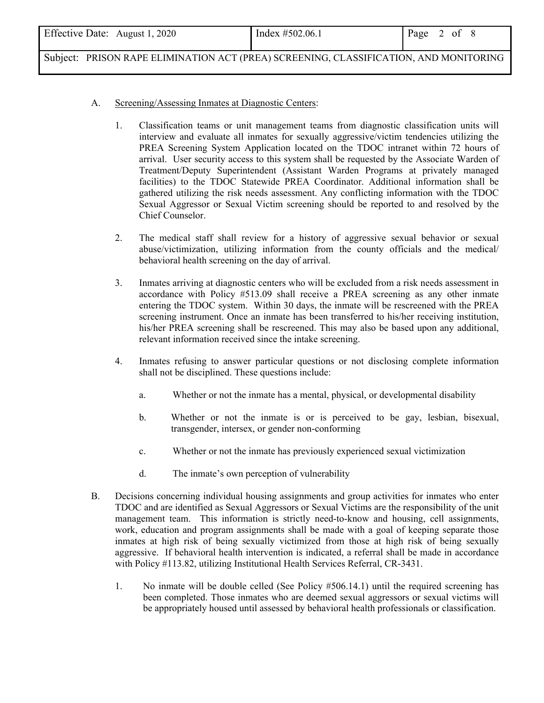|  | Effective Date: August 1, 2020<br>Index #502.06.1 | Page 2 of 8 |  |
|--|---------------------------------------------------|-------------|--|
|--|---------------------------------------------------|-------------|--|

#### A. Screening/Assessing Inmates at Diagnostic Centers:

- 1. Classification teams or unit management teams from diagnostic classification units will interview and evaluate all inmates for sexually aggressive/victim tendencies utilizing the PREA Screening System Application located on the TDOC intranet within 72 hours of arrival. User security access to this system shall be requested by the Associate Warden of Treatment/Deputy Superintendent (Assistant Warden Programs at privately managed facilities) to the TDOC Statewide PREA Coordinator. Additional information shall be gathered utilizing the risk needs assessment. Any conflicting information with the TDOC Sexual Aggressor or Sexual Victim screening should be reported to and resolved by the Chief Counselor.
- 2. The medical staff shall review for a history of aggressive sexual behavior or sexual abuse/victimization, utilizing information from the county officials and the medical/ behavioral health screening on the day of arrival.
- 3. Inmates arriving at diagnostic centers who will be excluded from a risk needs assessment in accordance with Policy #513.09 shall receive a PREA screening as any other inmate entering the TDOC system. Within 30 days, the inmate will be rescreened with the PREA screening instrument. Once an inmate has been transferred to his/her receiving institution, his/her PREA screening shall be rescreened. This may also be based upon any additional, relevant information received since the intake screening.
- 4. Inmates refusing to answer particular questions or not disclosing complete information shall not be disciplined. These questions include:
	- a. Whether or not the inmate has a mental, physical, or developmental disability
	- b. Whether or not the inmate is or is perceived to be gay, lesbian, bisexual, transgender, intersex, or gender non-conforming
	- c. Whether or not the inmate has previously experienced sexual victimization
	- d. The inmate's own perception of vulnerability
- B. Decisions concerning individual housing assignments and group activities for inmates who enter TDOC and are identified as Sexual Aggressors or Sexual Victims are the responsibility of the unit management team. This information is strictly need-to-know and housing, cell assignments, work, education and program assignments shall be made with a goal of keeping separate those inmates at high risk of being sexually victimized from those at high risk of being sexually aggressive. If behavioral health intervention is indicated, a referral shall be made in accordance with Policy #113.82, utilizing Institutional Health Services Referral, CR-3431.
	- 1. No inmate will be double celled (See Policy #506.14.1) until the required screening has been completed. Those inmates who are deemed sexual aggressors or sexual victims will be appropriately housed until assessed by behavioral health professionals or classification.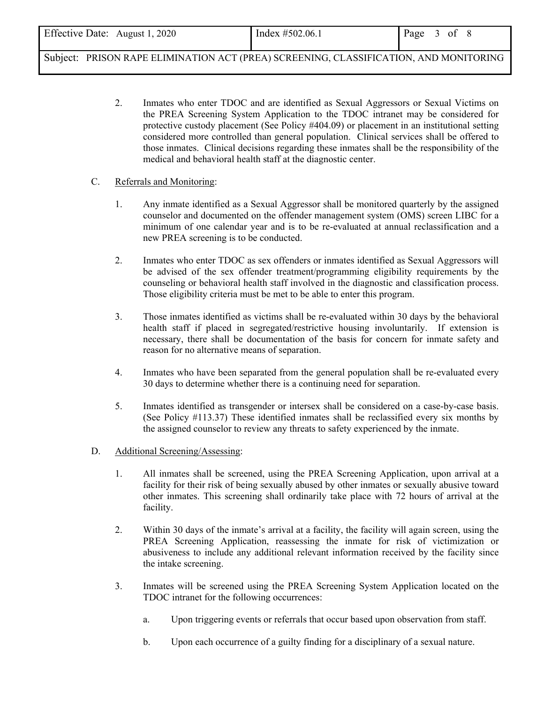| Effective Date: August 1, 2020 | Index $\#502.06.1$ | Page<br>0 <sup>t</sup> |
|--------------------------------|--------------------|------------------------|
|                                |                    |                        |

2. Inmates who enter TDOC and are identified as Sexual Aggressors or Sexual Victims on the PREA Screening System Application to the TDOC intranet may be considered for protective custody placement (See Policy #404.09) or placement in an institutional setting considered more controlled than general population. Clinical services shall be offered to those inmates. Clinical decisions regarding these inmates shall be the responsibility of the medical and behavioral health staff at the diagnostic center.

#### C. Referrals and Monitoring:

- 1. Any inmate identified as a Sexual Aggressor shall be monitored quarterly by the assigned counselor and documented on the offender management system (OMS) screen LIBC for a minimum of one calendar year and is to be re-evaluated at annual reclassification and a new PREA screening is to be conducted.
- 2. Inmates who enter TDOC as sex offenders or inmates identified as Sexual Aggressors will be advised of the sex offender treatment/programming eligibility requirements by the counseling or behavioral health staff involved in the diagnostic and classification process. Those eligibility criteria must be met to be able to enter this program.
- 3. Those inmates identified as victims shall be re-evaluated within 30 days by the behavioral health staff if placed in segregated/restrictive housing involuntarily. If extension is necessary, there shall be documentation of the basis for concern for inmate safety and reason for no alternative means of separation.
- 4. Inmates who have been separated from the general population shall be re-evaluated every 30 days to determine whether there is a continuing need for separation.
- 5. Inmates identified as transgender or intersex shall be considered on a case-by-case basis. (See Policy #113.37) These identified inmates shall be reclassified every six months by the assigned counselor to review any threats to safety experienced by the inmate.

### D. Additional Screening/Assessing:

- 1. All inmates shall be screened, using the PREA Screening Application, upon arrival at a facility for their risk of being sexually abused by other inmates or sexually abusive toward other inmates. This screening shall ordinarily take place with 72 hours of arrival at the facility.
- 2. Within 30 days of the inmate's arrival at a facility, the facility will again screen, using the PREA Screening Application, reassessing the inmate for risk of victimization or abusiveness to include any additional relevant information received by the facility since the intake screening.
- 3. Inmates will be screened using the PREA Screening System Application located on the TDOC intranet for the following occurrences:
	- a. Upon triggering events or referrals that occur based upon observation from staff.
	- b. Upon each occurrence of a guilty finding for a disciplinary of a sexual nature.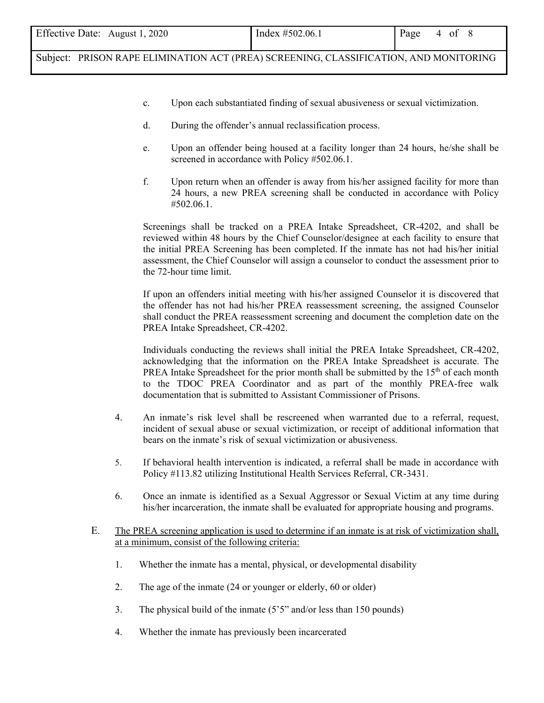| Effective Date: August 1, 2020 | Index #502.06.1 | Page 4 of |  |  |
|--------------------------------|-----------------|-----------|--|--|
|                                |                 |           |  |  |

- c. Upon each substantiated finding of sexual abusiveness or sexual victimization.
- d. During the offender's annual reclassification process.
- e. Upon an offender being housed at a facility longer than 24 hours, he/she shall be screened in accordance with Policy #502.06.1.
- f. Upon return when an offender is away from his/her assigned facility for more than 24 hours, a new PREA screening shall be conducted in accordance with Policy #502.06.1.

Screenings shall be tracked on a PREA Intake Spreadsheet, CR-4202, and shall be reviewed within 48 hours by the Chief Counselor/designee at each facility to ensure that the initial PREA Screening has been completed. If the inmate has not had his/her initial assessment, the Chief Counselor will assign a counselor to conduct the assessment prior to the 72-hour time limit.

If upon an offenders initial meeting with his/her assigned Counselor it is discovered that the offender has not had his/her PREA reassessment screening, the assigned Counselor shall conduct the PREA reassessment screening and document the completion date on the PREA Intake Spreadsheet, CR-4202.

Individuals conducting the reviews shall initial the PREA Intake Spreadsheet, CR-4202, acknowledging that the information on the PREA Intake Spreadsheet is accurate. The PREA Intake Spreadsheet for the prior month shall be submitted by the  $15<sup>th</sup>$  of each month to the TDOC PREA Coordinator and as part of the monthly PREA-free walk documentation that is submitted to Assistant Commissioner of Prisons.

- 4. An inmate's risk level shall be rescreened when warranted due to a referral, request, incident of sexual abuse or sexual victimization, or receipt of additional information that bears on the inmate's risk of sexual victimization or abusiveness.
- 5. If behavioral health intervention is indicated, a referral shall be made in accordance with Policy #113.82 utilizing Institutional Health Services Referral, CR-3431.
- 6. Once an inmate is identified as a Sexual Aggressor or Sexual Victim at any time during his/her incarceration, the inmate shall be evaluated for appropriate housing and programs.
- E. The PREA screening application is used to determine if an inmate is at risk of victimization shall, at a minimum, consist of the following criteria:
	- 1. Whether the inmate has a mental, physical, or developmental disability
	- 2. The age of the inmate (24 or younger or elderly, 60 or older)
	- 3. The physical build of the inmate (5'5" and/or less than 150 pounds)
	- 4. Whether the inmate has previously been incarcerated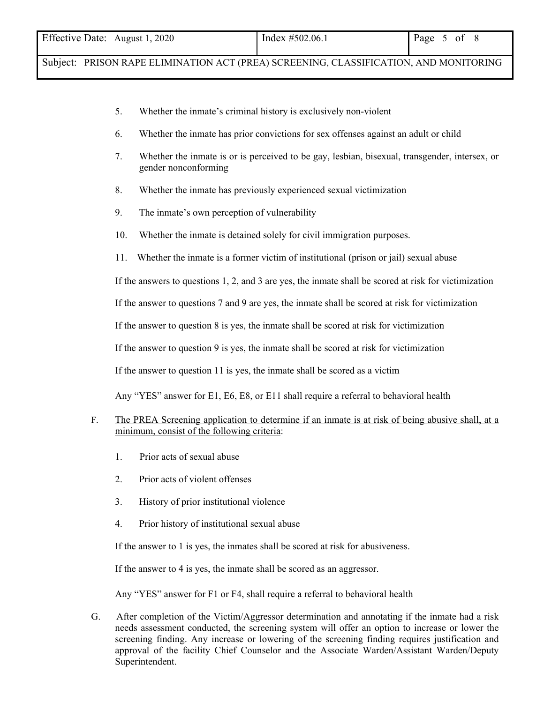| Effective Date: August 1, 2020 | Index #502.06.1 | Page 5 of 8 |
|--------------------------------|-----------------|-------------|
|                                |                 |             |

- 5. Whether the inmate's criminal history is exclusively non-violent
- 6. Whether the inmate has prior convictions for sex offenses against an adult or child
- 7. Whether the inmate is or is perceived to be gay, lesbian, bisexual, transgender, intersex, or gender nonconforming
- 8. Whether the inmate has previously experienced sexual victimization
- 9. The inmate's own perception of vulnerability
- 10. Whether the inmate is detained solely for civil immigration purposes.
- 11. Whether the inmate is a former victim of institutional (prison or jail) sexual abuse

If the answers to questions 1, 2, and 3 are yes, the inmate shall be scored at risk for victimization

If the answer to questions 7 and 9 are yes, the inmate shall be scored at risk for victimization

If the answer to question 8 is yes, the inmate shall be scored at risk for victimization

If the answer to question 9 is yes, the inmate shall be scored at risk for victimization

If the answer to question 11 is yes, the inmate shall be scored as a victim

Any "YES" answer for E1, E6, E8, or E11 shall require a referral to behavioral health

- F. The PREA Screening application to determine if an inmate is at risk of being abusive shall, at a minimum, consist of the following criteria:
	- 1. Prior acts of sexual abuse
	- 2. Prior acts of violent offenses
	- 3. History of prior institutional violence
	- 4. Prior history of institutional sexual abuse

If the answer to 1 is yes, the inmates shall be scored at risk for abusiveness.

If the answer to 4 is yes, the inmate shall be scored as an aggressor.

Any "YES" answer for F1 or F4, shall require a referral to behavioral health

G. After completion of the Victim/Aggressor determination and annotating if the inmate had a risk needs assessment conducted, the screening system will offer an option to increase or lower the screening finding. Any increase or lowering of the screening finding requires justification and approval of the facility Chief Counselor and the Associate Warden/Assistant Warden/Deputy Superintendent.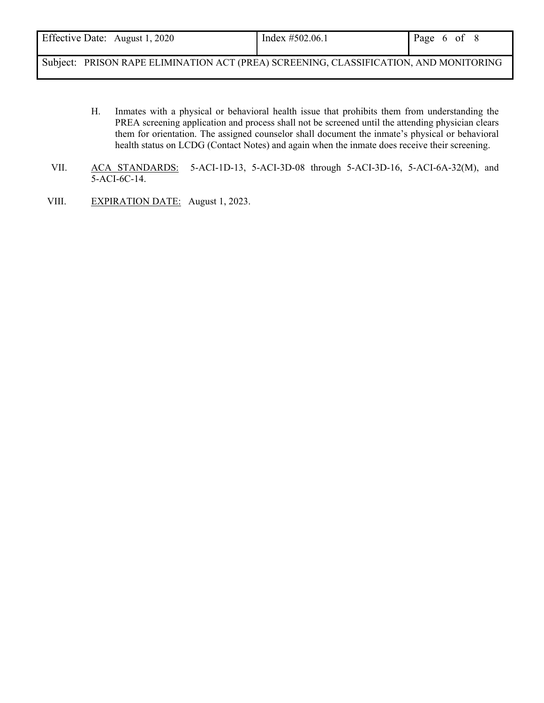| Effective Date: August 1, 2020                                                        | Index $\#502.06.1$ | Page 6 of 8 |
|---------------------------------------------------------------------------------------|--------------------|-------------|
| Subject: PRISON RAPE ELIMINATION ACT (PREA) SCREENING, CLASSIFICATION, AND MONITORING |                    |             |

- H. Inmates with a physical or behavioral health issue that prohibits them from understanding the PREA screening application and process shall not be screened until the attending physician clears them for orientation. The assigned counselor shall document the inmate's physical or behavioral health status on LCDG (Contact Notes) and again when the inmate does receive their screening.
- VII. ACA STANDARDS: 5-ACI-1D-13, 5-ACI-3D-08 through 5-ACI-3D-16, 5-ACI-6A-32(M), and 5-ACI-6C-14.
- VIII. EXPIRATION DATE: August 1, 2023.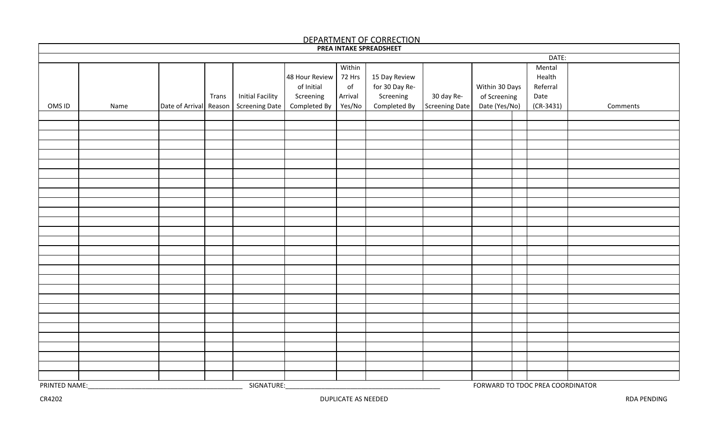|               |      |                        |       |                         |                |               | <u>DEPARTMENT OF CORRECTION</u> |                |                                  |             |          |
|---------------|------|------------------------|-------|-------------------------|----------------|---------------|---------------------------------|----------------|----------------------------------|-------------|----------|
|               |      |                        |       |                         |                |               | PREA INTAKE SPREADSHEET         |                |                                  |             |          |
|               |      |                        |       |                         |                |               |                                 |                |                                  | DATE:       |          |
|               |      |                        |       |                         |                | Within        |                                 |                |                                  | Mental      |          |
|               |      |                        |       |                         | 48 Hour Review | 72 Hrs        | 15 Day Review                   |                |                                  | Health      |          |
|               |      |                        |       |                         | of Initial     | $\mathsf{of}$ | for 30 Day Re-                  |                | Within 30 Days                   | Referral    |          |
|               |      |                        | Trans | <b>Initial Facility</b> | Screening      | Arrival       | Screening                       | 30 day Re-     | of Screening                     | Date        |          |
| OMS ID        | Name | Date of Arrival Reason |       | Screening Date          | Completed By   | Yes/No        | Completed By                    | Screening Date | Date (Yes/No)                    | $(CR-3431)$ | Comments |
|               |      |                        |       |                         |                |               |                                 |                |                                  |             |          |
|               |      |                        |       |                         |                |               |                                 |                |                                  |             |          |
|               |      |                        |       |                         |                |               |                                 |                |                                  |             |          |
|               |      |                        |       |                         |                |               |                                 |                |                                  |             |          |
|               |      |                        |       |                         |                |               |                                 |                |                                  |             |          |
|               |      |                        |       |                         |                |               |                                 |                |                                  |             |          |
|               |      |                        |       |                         |                |               |                                 |                |                                  |             |          |
|               |      |                        |       |                         |                |               |                                 |                |                                  |             |          |
|               |      |                        |       |                         |                |               |                                 |                |                                  |             |          |
|               |      |                        |       |                         |                |               |                                 |                |                                  |             |          |
|               |      |                        |       |                         |                |               |                                 |                |                                  |             |          |
|               |      |                        |       |                         |                |               |                                 |                |                                  |             |          |
|               |      |                        |       |                         |                |               |                                 |                |                                  |             |          |
|               |      |                        |       |                         |                |               |                                 |                |                                  |             |          |
|               |      |                        |       |                         |                |               |                                 |                |                                  |             |          |
|               |      |                        |       |                         |                |               |                                 |                |                                  |             |          |
|               |      |                        |       |                         |                |               |                                 |                |                                  |             |          |
|               |      |                        |       |                         |                |               |                                 |                |                                  |             |          |
|               |      |                        |       |                         |                |               |                                 |                |                                  |             |          |
|               |      |                        |       |                         |                |               |                                 |                |                                  |             |          |
|               |      |                        |       |                         |                |               |                                 |                |                                  |             |          |
|               |      |                        |       |                         |                |               |                                 |                |                                  |             |          |
|               |      |                        |       |                         |                |               |                                 |                |                                  |             |          |
|               |      |                        |       |                         |                |               |                                 |                |                                  |             |          |
|               |      |                        |       |                         |                |               |                                 |                |                                  |             |          |
|               |      |                        |       |                         |                |               |                                 |                |                                  |             |          |
|               |      |                        |       |                         |                |               |                                 |                |                                  |             |          |
|               |      |                        |       |                         |                |               |                                 |                |                                  |             |          |
| PRINTED NAME: |      |                        |       | SIGNATURE:              |                |               |                                 |                | FORWARD TO TDOC PREA COORDINATOR |             |          |

# DEPARTMENT OF CORRECTION